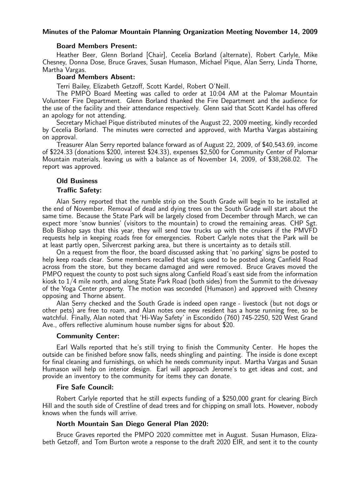### Minutes of the Palomar Mountain Planning Organization Meeting November 14, 2009

### Board Members Present:

Heather Beer, Glenn Borland [Chair], Cecelia Borland (alternate), Robert Carlyle, Mike Chesney, Donna Dose, Bruce Graves, Susan Humason, Michael Pique, Alan Serry, Linda Thorne, Martha Vargas.

## Board Members Absent:

Terri Bailey, Elizabeth Getzoff, Scott Kardel, Robert O'Neill.

The PMPO Board Meeting was called to order at 10:04 AM at the Palomar Mountain Volunteer Fire Department. Glenn Borland thanked the Fire Department and the audience for the use of the facility and their attendance respectively. Glenn said that Scott Kardel has offered an apology for not attending.

Secretary Michael Pique distributed minutes of the August 22, 2009 meeting, kindly recorded by Cecelia Borland. The minutes were corrected and approved, with Martha Vargas abstaining on approval.

Treasurer Alan Serry reported balance forward as of August 22, 2009, of \$40,543.69, income of \$224.33 (donations \$200, interest \$24.33), expenses \$2,500 for Community Center of Palomar Mountain materials, leaving us with a balance as of November 14, 2009, of \$38,268.02. The report was approved.

### Old Business

#### Traffic Safety:

Alan Serry reported that the rumble strip on the South Grade will begin to be installed at the end of November. Removal of dead and dying trees on the South Grade will start about the same time. Because the State Park will be largely closed from December through March, we can expect more 'snow bunnies' (visitors to the mountain) to crowd the remaining areas. CHP Sgt. Bob Bishop says that this year, they will send tow trucks up with the cruisers if the PMVFD requests help in keeping roads free for emergencies. Robert Carlyle notes that the Park will be at least partly open, Silvercrest parking area, but there is uncertainty as to details still.

On a request from the floor, the board discussed asking that 'no parking' signs be posted to help keep roads clear. Some members recalled that signs used to be posted along Canfield Road across from the store, but they became damaged and were removed. Bruce Graves moved the PMPO request the county to post such signs along Canfield Road's east side from the information kiosk to 1/4 mile north, and along State Park Road (both sides) from the Summit to the driveway of the Yoga Center property. The motion was seconded (Humason) and approved with Chesney opposing and Thorne absent.

Alan Serry checked and the South Grade is indeed open range - livestock (but not dogs or other pets) are free to roam, and Alan notes one new resident has a horse running free, so be watchful. Finally, Alan noted that 'Hi-Way Safety' in Escondido (760) 745-2250, 520 West Grand Ave., offers reflective aluminum house number signs for about \$20.

#### Community Center:

Earl Walls reported that he's still trying to finish the Community Center. He hopes the outside can be finished before snow falls, needs shingling and painting. The inside is done except for final cleaning and furnishings, on which he needs community input. Martha Vargas and Susan Humason will help on interior design. Earl will approach Jerome's to get ideas and cost, and provide an inventory to the community for items they can donate.

### Fire Safe Council:

Robert Carlyle reported that he still expects funding of a \$250,000 grant for clearing Birch Hill and the south side of Crestline of dead trees and for chipping on small lots. However, nobody knows when the funds will arrive.

### North Mountain San Diego General Plan 2020:

Bruce Graves reported the PMPO 2020 committee met in August. Susan Humason, Elizabeth Getzoff, and Tom Burton wrote a response to the draft 2020 EIR, and sent it to the county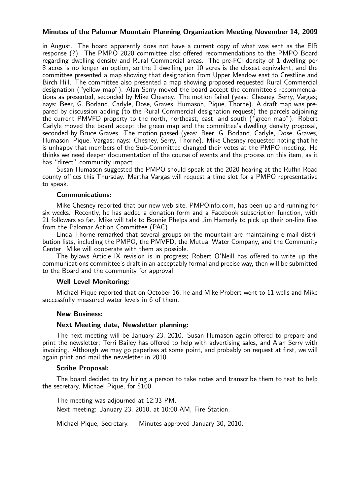## Minutes of the Palomar Mountain Planning Organization Meeting November 14, 2009

in August. The board apparently does not have a current copy of what was sent as the EIR response (?). The PMPO 2020 committee also offered recommendations to the PMPO Board regarding dwelling density and Rural Commercial areas. The pre-FCI density of 1 dwelling per 8 acres is no longer an option, so the 1 dwelling per 10 acres is the closest equivalent, and the committee presented a map showing that designation from Upper Meadow east to Crestline and Birch Hill. The committee also presented a map showing proposed requested Rural Commercial designation ("yellow map"). Alan Serry moved the board accept the committee's recommendations as presented, seconded by Mike Chesney. The motion failed (yeas: Chesney, Serry, Vargas; nays: Beer, G. Borland, Carlyle, Dose, Graves, Humason, Pique, Thorne). A draft map was prepared by discussion adding (to the Rural Commercial designation request) the parcels adjoining the current PMVFD property to the north, northeast, east, and south ("green map"). Robert Carlyle moved the board accept the green map and the committee's dwelling density proposal, seconded by Bruce Graves. The motion passed (yeas: Beer, G. Borland, Carlyle, Dose, Graves, Humason, Pique, Vargas; nays: Chesney, Serry, Thorne). Mike Chesney requested noting that he is unhappy that members of the Sub-Committee changed their votes at the PMPO meeting. He thinks we need deeper documentation of the course of events and the process on this item, as it has "direct" community impact.

Susan Humason suggested the PMPO should speak at the 2020 hearing at the Ruffin Road county offices this Thursday. Martha Vargas will request a time slot for a PMPO representative to speak.

### Communications:

Mike Chesney reported that our new web site, PMPOinfo.com, has been up and running for six weeks. Recently, he has added a donation form and a Facebook subscription function, with 21 followers so far. Mike will talk to Bonnie Phelps and Jim Hamerly to pick up their on-line files from the Palomar Action Committee (PAC).

Linda Thorne remarked that several groups on the mountain are maintaining e-mail distribution lists, including the PMPO, the PMVFD, the Mutual Water Company, and the Community Center. Mike will cooperate with them as possible.

The bylaws Article IX revision is in progress; Robert O'Neill has offered to write up the communications committee's draft in an acceptably formal and precise way, then will be submitted to the Board and the community for approval.

### Well Level Monitoring:

Michael Pique reported that on October 16, he and Mike Probert went to 11 wells and Mike successfully measured water levels in 6 of them.

### New Business:

### Next Meeting date, Newsletter planning:

The next meeting will be January 23, 2010. Susan Humason again offered to prepare and print the newsletter; Terri Bailey has offered to help with advertising sales, and Alan Serry with invoicing. Although we may go paperless at some point, and probably on request at first, we will again print and mail the newsletter in 2010.

#### Scribe Proposal:

The board decided to try hiring a person to take notes and transcribe them to text to help the secretary, Michael Pique, for \$100.

The meeting was adjourned at 12:33 PM. Next meeting: January 23, 2010, at 10:00 AM, Fire Station.

Michael Pique, Secretary. Minutes approved January 30, 2010.